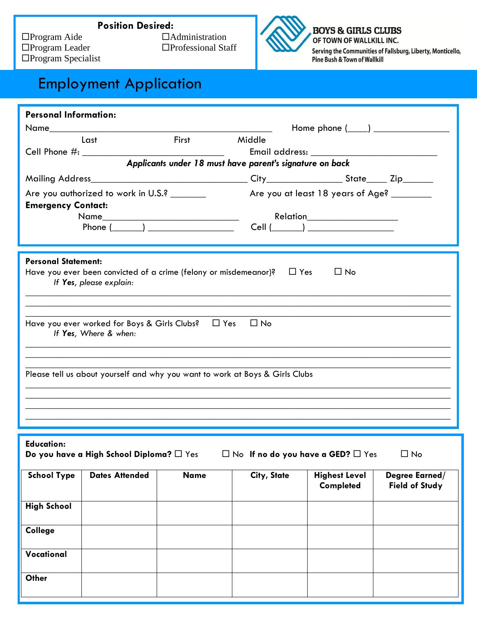

**BOYS & GIRLS CLUBS** OF TOWN OF WALLKILL INC. Serving the Communities of Fallsburg, Liberty, Monticello, Pine Bush & Town of Wallkill

## Employment Application

| <b>Personal Information:</b>                                                                                                                                                                                                                                                                                                                                                                                                                                                                                                        |                       |              |                                                                   |                                          |                                         |  |  |
|-------------------------------------------------------------------------------------------------------------------------------------------------------------------------------------------------------------------------------------------------------------------------------------------------------------------------------------------------------------------------------------------------------------------------------------------------------------------------------------------------------------------------------------|-----------------------|--------------|-------------------------------------------------------------------|------------------------------------------|-----------------------------------------|--|--|
|                                                                                                                                                                                                                                                                                                                                                                                                                                                                                                                                     |                       |              |                                                                   | Home phone $(\_\_\_\_)$                  |                                         |  |  |
|                                                                                                                                                                                                                                                                                                                                                                                                                                                                                                                                     | Last                  | <b>First</b> | Middle                                                            |                                          |                                         |  |  |
|                                                                                                                                                                                                                                                                                                                                                                                                                                                                                                                                     |                       |              |                                                                   |                                          |                                         |  |  |
| Applicants under 18 must have parent's signature on back                                                                                                                                                                                                                                                                                                                                                                                                                                                                            |                       |              |                                                                   |                                          |                                         |  |  |
|                                                                                                                                                                                                                                                                                                                                                                                                                                                                                                                                     |                       |              |                                                                   |                                          |                                         |  |  |
| Are you authorized to work in U.S.? _______<br><b>Emergency Contact:</b>                                                                                                                                                                                                                                                                                                                                                                                                                                                            |                       |              | Are you at least 18 years of Age?<br>Relation____________________ |                                          |                                         |  |  |
|                                                                                                                                                                                                                                                                                                                                                                                                                                                                                                                                     |                       |              |                                                                   |                                          |                                         |  |  |
|                                                                                                                                                                                                                                                                                                                                                                                                                                                                                                                                     |                       |              |                                                                   |                                          |                                         |  |  |
| <b>Personal Statement:</b><br>Have you ever been convicted of a crime (felony or misdemeanor)? $\Box$ Yes<br>$\Box$ No<br>If Yes, please explain:<br><u> 1989 - Johann Harry Harry Harry Harry Harry Harry Harry Harry Harry Harry Harry Harry Harry Harry Harry Harry</u><br>Have you ever worked for Boys & Girls Clubs? □ Yes □ No<br>If Yes, Where & when:<br>Please tell us about yourself and why you want to work at Boys & Girls Clubs<br>,我们也不能在这里的人,我们也不能在这里的人,我们也不能在这里的人,我们也不能在这里的人,我们也不能在这里的人,我们也不能在这里的人,我们也不能在这里的人,我们也 |                       |              |                                                                   |                                          |                                         |  |  |
| <b>Education:</b><br>Do you have a High School Diploma? $\square$ Yes $\square$ No If no do you have a GED? $\square$ Yes $\square$ No                                                                                                                                                                                                                                                                                                                                                                                              |                       |              |                                                                   |                                          |                                         |  |  |
| <b>School Type</b>                                                                                                                                                                                                                                                                                                                                                                                                                                                                                                                  | <b>Dates Attended</b> | <b>Name</b>  | City, State                                                       | <b>Highest Level</b><br><b>Completed</b> | Degree Earned/<br><b>Field of Study</b> |  |  |
| <b>High School</b>                                                                                                                                                                                                                                                                                                                                                                                                                                                                                                                  |                       |              |                                                                   |                                          |                                         |  |  |
| College                                                                                                                                                                                                                                                                                                                                                                                                                                                                                                                             |                       |              |                                                                   |                                          |                                         |  |  |
| Vocational                                                                                                                                                                                                                                                                                                                                                                                                                                                                                                                          |                       |              |                                                                   |                                          |                                         |  |  |
| Other                                                                                                                                                                                                                                                                                                                                                                                                                                                                                                                               |                       |              |                                                                   |                                          |                                         |  |  |